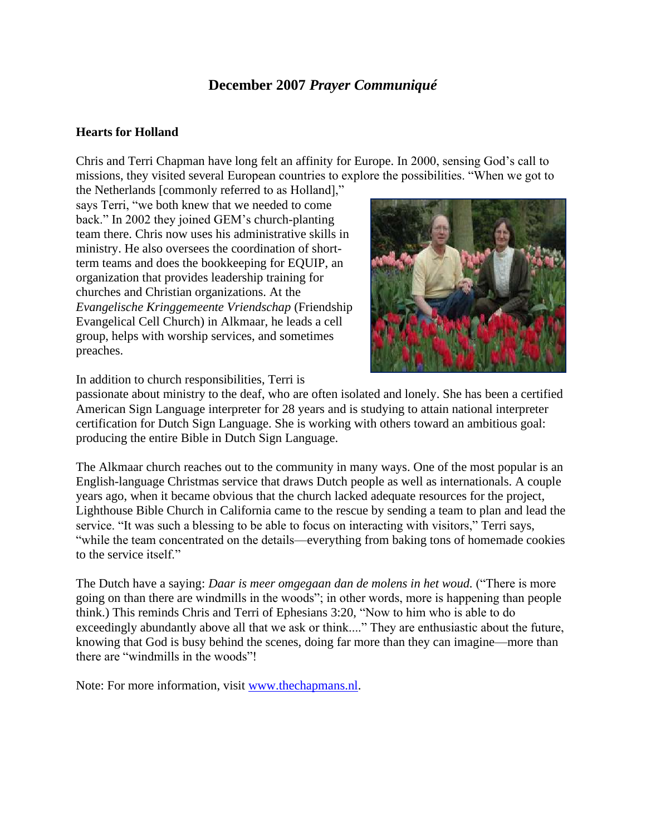## **December 2007** *Prayer Communiqué*

## **Hearts for Holland**

Chris and Terri Chapman have long felt an affinity for Europe. In 2000, sensing God's call to missions, they visited several European countries to explore the possibilities. "When we got to

the Netherlands [commonly referred to as Holland]," says Terri, "we both knew that we needed to come back." In 2002 they joined GEM's church-planting team there. Chris now uses his administrative skills in ministry. He also oversees the coordination of shortterm teams and does the bookkeeping for EQUIP, an organization that provides leadership training for churches and Christian organizations. At the *Evangelische Kringgemeente Vriendschap* (Friendship Evangelical Cell Church) in Alkmaar, he leads a cell group, helps with worship services, and sometimes preaches.



In addition to church responsibilities, Terri is

passionate about ministry to the deaf, who are often isolated and lonely. She has been a certified American Sign Language interpreter for 28 years and is studying to attain national interpreter certification for Dutch Sign Language. She is working with others toward an ambitious goal: producing the entire Bible in Dutch Sign Language.

The Alkmaar church reaches out to the community in many ways. One of the most popular is an English-language Christmas service that draws Dutch people as well as internationals. A couple years ago, when it became obvious that the church lacked adequate resources for the project, Lighthouse Bible Church in California came to the rescue by sending a team to plan and lead the service. "It was such a blessing to be able to focus on interacting with visitors," Terri says, "while the team concentrated on the details—everything from baking tons of homemade cookies to the service itself."

The Dutch have a saying: *Daar is meer omgegaan dan de molens in het woud.* ("There is more going on than there are windmills in the woods"; in other words, more is happening than people think.) This reminds Chris and Terri of Ephesians 3:20, "Now to him who is able to do exceedingly abundantly above all that we ask or think...." They are enthusiastic about the future, knowing that God is busy behind the scenes, doing far more than they can imagine—more than there are "windmills in the woods"!

Note: For more information, visit [www.thechapmans.nl.](http://www.thechapmans.nl/)